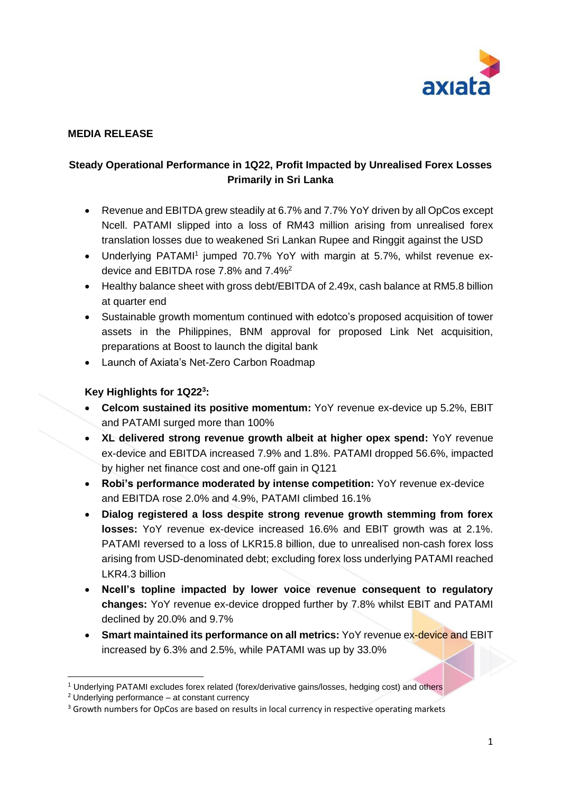

## **MEDIA RELEASE**

### **Steady Operational Performance in 1Q22, Profit Impacted by Unrealised Forex Losses Primarily in Sri Lanka**

- Revenue and EBITDA grew steadily at 6.7% and 7.7% YoY driven by all OpCos except Ncell. PATAMI slipped into a loss of RM43 million arising from unrealised forex translation losses due to weakened Sri Lankan Rupee and Ringgit against the USD
- Underlying PATAMI<sup>1</sup> jumped 70.7% YoY with margin at 5.7%, whilst revenue exdevice and EBITDA rose 7.8% and 7.4%<sup>2</sup>
- Healthy balance sheet with gross debt/EBITDA of 2.49x, cash balance at RM5.8 billion at quarter end
- Sustainable growth momentum continued with edotco's proposed acquisition of tower assets in the Philippines, BNM approval for proposed Link Net acquisition, preparations at Boost to launch the digital bank
- Launch of Axiata's Net-Zero Carbon Roadmap

#### **Key Highlights for 1Q22<sup>3</sup> :**

- **Celcom sustained its positive momentum:** YoY revenue ex-device up 5.2%, EBIT and PATAMI surged more than 100%
- **XL delivered strong revenue growth albeit at higher opex spend:** YoY revenue ex-device and EBITDA increased 7.9% and 1.8%. PATAMI dropped 56.6%, impacted by higher net finance cost and one-off gain in Q121
- **Robi's performance moderated by intense competition:** YoY revenue ex-device and EBITDA rose 2.0% and 4.9%, PATAMI climbed 16.1%
- **Dialog registered a loss despite strong revenue growth stemming from forex losses:** YoY revenue ex-device increased 16.6% and EBIT growth was at 2.1%. PATAMI reversed to a loss of LKR15.8 billion, due to unrealised non-cash forex loss arising from USD-denominated debt; excluding forex loss underlying PATAMI reached LKR4.3 billion
- **Ncell's topline impacted by lower voice revenue consequent to regulatory changes:** YoY revenue ex-device dropped further by 7.8% whilst EBIT and PATAMI declined by 20.0% and 9.7%
- **Smart maintained its performance on all metrics:** YoY revenue ex-device and EBIT increased by 6.3% and 2.5%, while PATAMI was up by 33.0%

<sup>1</sup> Underlying PATAMI excludes forex related (forex/derivative gains/losses, hedging cost) and others

<sup>2</sup> Underlying performance – at constant currency

<sup>&</sup>lt;sup>3</sup> Growth numbers for OpCos are based on results in local currency in respective operating markets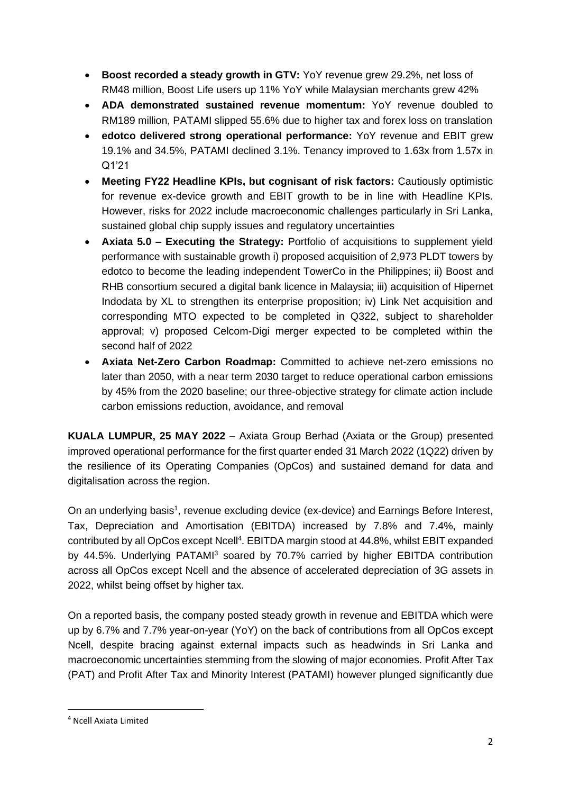- **Boost recorded a steady growth in GTV:** YoY revenue grew 29.2%, net loss of RM48 million, Boost Life users up 11% YoY while Malaysian merchants grew 42%
- **ADA demonstrated sustained revenue momentum:** YoY revenue doubled to RM189 million, PATAMI slipped 55.6% due to higher tax and forex loss on translation
- **edotco delivered strong operational performance:** YoY revenue and EBIT grew 19.1% and 34.5%, PATAMI declined 3.1%. Tenancy improved to 1.63x from 1.57x in Q1'21
- **Meeting FY22 Headline KPIs, but cognisant of risk factors:** Cautiously optimistic for revenue ex-device growth and EBIT growth to be in line with Headline KPIs. However, risks for 2022 include macroeconomic challenges particularly in Sri Lanka, sustained global chip supply issues and regulatory uncertainties
- **Axiata 5.0 – Executing the Strategy:** Portfolio of acquisitions to supplement yield performance with sustainable growth i) proposed acquisition of 2,973 PLDT towers by edotco to become the leading independent TowerCo in the Philippines; ii) Boost and RHB consortium secured a digital bank licence in Malaysia; iii) acquisition of Hipernet Indodata by XL to strengthen its enterprise proposition; iv) Link Net acquisition and corresponding MTO expected to be completed in Q322, subject to shareholder approval; v) proposed Celcom-Digi merger expected to be completed within the second half of 2022
- **Axiata Net-Zero Carbon Roadmap:** Committed to achieve net-zero emissions no later than 2050, with a near term 2030 target to reduce operational carbon emissions by 45% from the 2020 baseline; our three-objective strategy for climate action include carbon emissions reduction, avoidance, and removal

**KUALA LUMPUR, 25 MAY 2022** – Axiata Group Berhad (Axiata or the Group) presented improved operational performance for the first quarter ended 31 March 2022 (1Q22) driven by the resilience of its Operating Companies (OpCos) and sustained demand for data and digitalisation across the region.

On an underlying basis<sup>1</sup>, revenue excluding device (ex-device) and Earnings Before Interest, Tax, Depreciation and Amortisation (EBITDA) increased by 7.8% and 7.4%, mainly contributed by all OpCos except Ncell<sup>4</sup>. EBITDA margin stood at 44.8%, whilst EBIT expanded by 44.5%. Underlying PATAMI<sup>3</sup> soared by 70.7% carried by higher EBITDA contribution across all OpCos except Ncell and the absence of accelerated depreciation of 3G assets in 2022, whilst being offset by higher tax.

On a reported basis, the company posted steady growth in revenue and EBITDA which were up by 6.7% and 7.7% year-on-year (YoY) on the back of contributions from all OpCos except Ncell, despite bracing against external impacts such as headwinds in Sri Lanka and macroeconomic uncertainties stemming from the slowing of major economies. Profit After Tax (PAT) and Profit After Tax and Minority Interest (PATAMI) however plunged significantly due

<sup>4</sup> Ncell Axiata Limited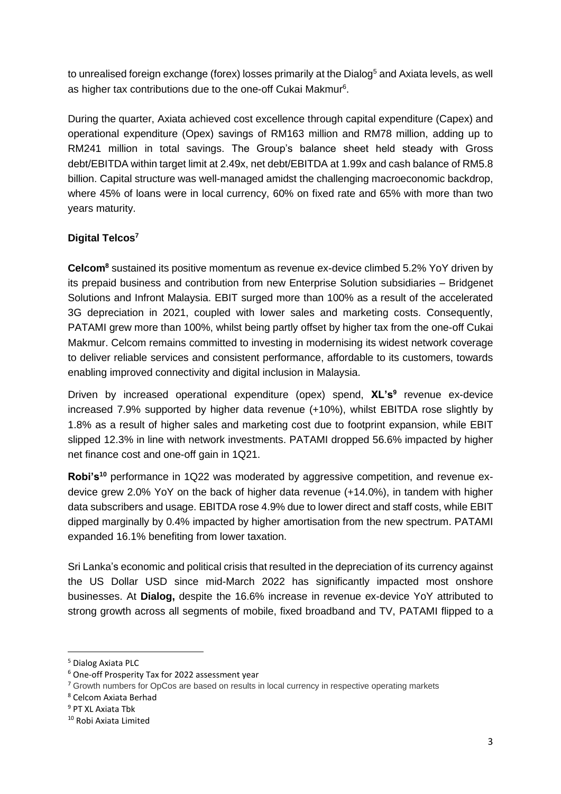to unrealised foreign exchange (forex) losses primarily at the Dialog<sup>5</sup> and Axiata levels, as well as higher tax contributions due to the one-off Cukai Makmur<sup>6</sup>.

During the quarter, Axiata achieved cost excellence through capital expenditure (Capex) and operational expenditure (Opex) savings of RM163 million and RM78 million, adding up to RM241 million in total savings. The Group's balance sheet held steady with Gross debt/EBITDA within target limit at 2.49x, net debt/EBITDA at 1.99x and cash balance of RM5.8 billion. Capital structure was well-managed amidst the challenging macroeconomic backdrop, where 45% of loans were in local currency, 60% on fixed rate and 65% with more than two years maturity.

# **Digital Telcos<sup>7</sup>**

**Celcom<sup>8</sup>** sustained its positive momentum as revenue ex-device climbed 5.2% YoY driven by its prepaid business and contribution from new Enterprise Solution subsidiaries – Bridgenet Solutions and Infront Malaysia. EBIT surged more than 100% as a result of the accelerated 3G depreciation in 2021, coupled with lower sales and marketing costs. Consequently, PATAMI grew more than 100%, whilst being partly offset by higher tax from the one-off Cukai Makmur. Celcom remains committed to investing in modernising its widest network coverage to deliver reliable services and consistent performance, affordable to its customers, towards enabling improved connectivity and digital inclusion in Malaysia.

Driven by increased operational expenditure (opex) spend, **XL's<sup>9</sup>** revenue ex-device increased 7.9% supported by higher data revenue (+10%), whilst EBITDA rose slightly by 1.8% as a result of higher sales and marketing cost due to footprint expansion, while EBIT slipped 12.3% in line with network investments. PATAMI dropped 56.6% impacted by higher net finance cost and one-off gain in 1Q21.

**Robi's<sup>10</sup>** performance in 1Q22 was moderated by aggressive competition, and revenue exdevice grew 2.0% YoY on the back of higher data revenue (+14.0%), in tandem with higher data subscribers and usage. EBITDA rose 4.9% due to lower direct and staff costs, while EBIT dipped marginally by 0.4% impacted by higher amortisation from the new spectrum. PATAMI expanded 16.1% benefiting from lower taxation.

Sri Lanka's economic and political crisis that resulted in the depreciation of its currency against the US Dollar USD since mid-March 2022 has significantly impacted most onshore businesses. At **Dialog,** despite the 16.6% increase in revenue ex-device YoY attributed to strong growth across all segments of mobile, fixed broadband and TV, PATAMI flipped to a

<sup>5</sup> Dialog Axiata PLC

<sup>6</sup> One-off Prosperity Tax for 2022 assessment year

<sup>&</sup>lt;sup>7</sup> Growth numbers for OpCos are based on results in local currency in respective operating markets

<sup>8</sup> Celcom Axiata Berhad

<sup>9</sup> PT XL Axiata Tbk

<sup>10</sup> Robi Axiata Limited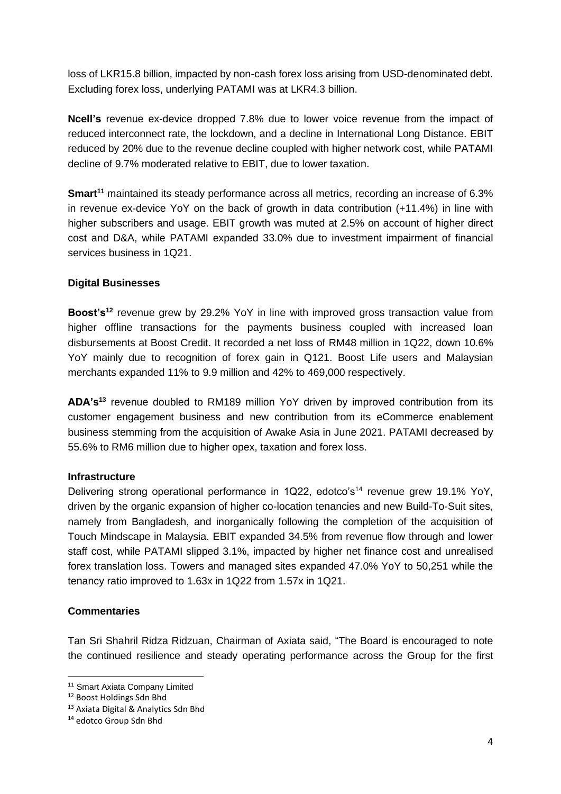loss of LKR15.8 billion, impacted by non-cash forex loss arising from USD-denominated debt. Excluding forex loss, underlying PATAMI was at LKR4.3 billion.

**Ncell's** revenue ex-device dropped 7.8% due to lower voice revenue from the impact of reduced interconnect rate, the lockdown, and a decline in International Long Distance. EBIT reduced by 20% due to the revenue decline coupled with higher network cost, while PATAMI decline of 9.7% moderated relative to EBIT, due to lower taxation.

**Smart<sup>11</sup>** maintained its steady performance across all metrics, recording an increase of 6.3% in revenue ex-device YoY on the back of growth in data contribution (+11.4%) in line with higher subscribers and usage. EBIT growth was muted at 2.5% on account of higher direct cost and D&A, while PATAMI expanded 33.0% due to investment impairment of financial services business in 1Q21.

### **Digital Businesses**

**Boost's<sup>12</sup>** revenue grew by 29.2% YoY in line with improved gross transaction value from higher offline transactions for the payments business coupled with increased loan disbursements at Boost Credit. It recorded a net loss of RM48 million in 1Q22, down 10.6% YoY mainly due to recognition of forex gain in Q121. Boost Life users and Malaysian merchants expanded 11% to 9.9 million and 42% to 469,000 respectively.

**ADA's<sup>13</sup>** revenue doubled to RM189 million YoY driven by improved contribution from its customer engagement business and new contribution from its eCommerce enablement business stemming from the acquisition of Awake Asia in June 2021. PATAMI decreased by 55.6% to RM6 million due to higher opex, taxation and forex loss.

### **Infrastructure**

Delivering strong operational performance in 1Q22, edotco's<sup>14</sup> revenue grew 19.1% YoY, driven by the organic expansion of higher co-location tenancies and new Build-To-Suit sites, namely from Bangladesh, and inorganically following the completion of the acquisition of Touch Mindscape in Malaysia. EBIT expanded 34.5% from revenue flow through and lower staff cost, while PATAMI slipped 3.1%, impacted by higher net finance cost and unrealised forex translation loss. Towers and managed sites expanded 47.0% YoY to 50,251 while the tenancy ratio improved to 1.63x in 1Q22 from 1.57x in 1Q21.

### **Commentaries**

Tan Sri Shahril Ridza Ridzuan, Chairman of Axiata said, "The Board is encouraged to note the continued resilience and steady operating performance across the Group for the first

<sup>11</sup> Smart Axiata Company Limited

<sup>12</sup> Boost Holdings Sdn Bhd

<sup>13</sup> Axiata Digital & Analytics Sdn Bhd

<sup>14</sup> edotco Group Sdn Bhd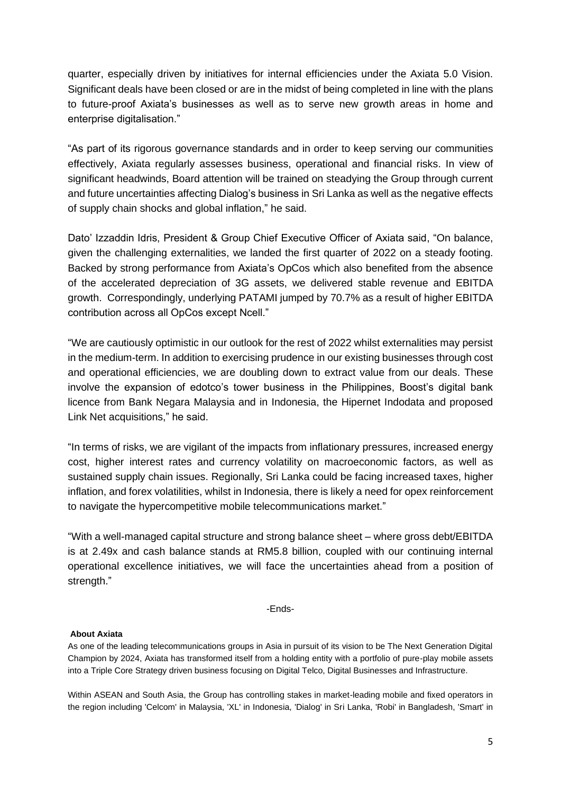quarter, especially driven by initiatives for internal efficiencies under the Axiata 5.0 Vision. Significant deals have been closed or are in the midst of being completed in line with the plans to future-proof Axiata's businesses as well as to serve new growth areas in home and enterprise digitalisation."

"As part of its rigorous governance standards and in order to keep serving our communities effectively, Axiata regularly assesses business, operational and financial risks. In view of significant headwinds, Board attention will be trained on steadying the Group through current and future uncertainties affecting Dialog's business in Sri Lanka as well as the negative effects of supply chain shocks and global inflation," he said.

Dato' Izzaddin Idris, President & Group Chief Executive Officer of Axiata said, "On balance, given the challenging externalities, we landed the first quarter of 2022 on a steady footing. Backed by strong performance from Axiata's OpCos which also benefited from the absence of the accelerated depreciation of 3G assets, we delivered stable revenue and EBITDA growth. Correspondingly, underlying PATAMI jumped by 70.7% as a result of higher EBITDA contribution across all OpCos except Ncell."

"We are cautiously optimistic in our outlook for the rest of 2022 whilst externalities may persist in the medium-term. In addition to exercising prudence in our existing businesses through cost and operational efficiencies, we are doubling down to extract value from our deals. These involve the expansion of edotco's tower business in the Philippines, Boost's digital bank licence from Bank Negara Malaysia and in Indonesia, the Hipernet Indodata and proposed Link Net acquisitions," he said.

"In terms of risks, we are vigilant of the impacts from inflationary pressures, increased energy cost, higher interest rates and currency volatility on macroeconomic factors, as well as sustained supply chain issues. Regionally, Sri Lanka could be facing increased taxes, higher inflation, and forex volatilities, whilst in Indonesia, there is likely a need for opex reinforcement to navigate the hypercompetitive mobile telecommunications market."

"With a well-managed capital structure and strong balance sheet – where gross debt/EBITDA is at 2.49x and cash balance stands at RM5.8 billion, coupled with our continuing internal operational excellence initiatives, we will face the uncertainties ahead from a position of strength."

-Ends-

#### **About Axiata**

As one of the leading telecommunications groups in Asia in pursuit of its vision to be The Next Generation Digital Champion by 2024, Axiata has transformed itself from a holding entity with a portfolio of pure-play mobile assets into a Triple Core Strategy driven business focusing on Digital Telco, Digital Businesses and Infrastructure.

Within ASEAN and South Asia, the Group has controlling stakes in market-leading mobile and fixed operators in the region including 'Celcom' in Malaysia, 'XL' in Indonesia, 'Dialog' in Sri Lanka, 'Robi' in Bangladesh, 'Smart' in